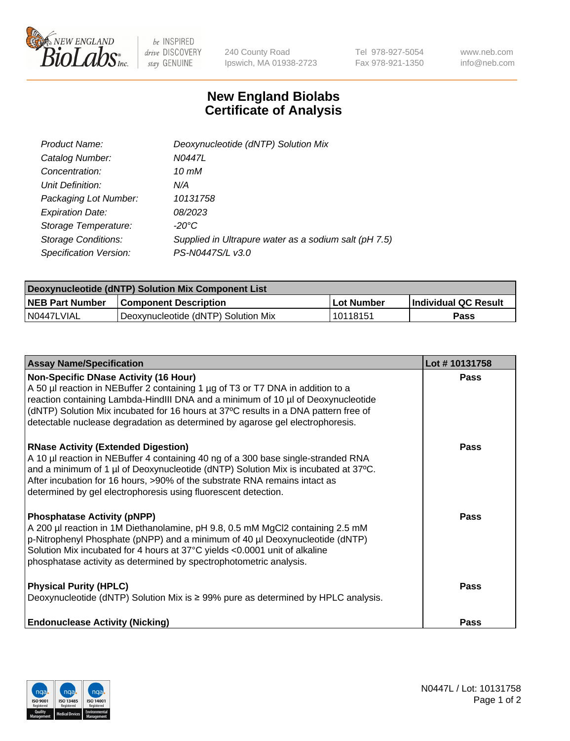

 $be$  INSPIRED drive DISCOVERY stay GENUINE

240 County Road Ipswich, MA 01938-2723 Tel 978-927-5054 Fax 978-921-1350 www.neb.com info@neb.com

## **New England Biolabs Certificate of Analysis**

| Product Name:              | Deoxynucleotide (dNTP) Solution Mix                   |
|----------------------------|-------------------------------------------------------|
| Catalog Number:            | N0447L                                                |
| Concentration:             | 10 mM                                                 |
| Unit Definition:           | N/A                                                   |
| Packaging Lot Number:      | 10131758                                              |
| <b>Expiration Date:</b>    | 08/2023                                               |
| Storage Temperature:       | $-20^{\circ}$ C                                       |
| <b>Storage Conditions:</b> | Supplied in Ultrapure water as a sodium salt (pH 7.5) |
| Specification Version:     | PS-N0447S/L v3.0                                      |

| Deoxynucleotide (dNTP) Solution Mix Component List |                                     |            |                             |  |
|----------------------------------------------------|-------------------------------------|------------|-----------------------------|--|
| <b>NEB Part Number</b>                             | <b>Component Description</b>        | Lot Number | <b>Individual QC Result</b> |  |
| IN0447LVIAL                                        | Deoxynucleotide (dNTP) Solution Mix | 10118151   | Pass                        |  |

| <b>Assay Name/Specification</b>                                                                                                                                                                                                                                                                                                                                                             | Lot #10131758 |
|---------------------------------------------------------------------------------------------------------------------------------------------------------------------------------------------------------------------------------------------------------------------------------------------------------------------------------------------------------------------------------------------|---------------|
| <b>Non-Specific DNase Activity (16 Hour)</b><br>A 50 µl reaction in NEBuffer 2 containing 1 µg of T3 or T7 DNA in addition to a<br>reaction containing Lambda-HindIII DNA and a minimum of 10 µl of Deoxynucleotide<br>(dNTP) Solution Mix incubated for 16 hours at 37°C results in a DNA pattern free of<br>detectable nuclease degradation as determined by agarose gel electrophoresis. | Pass          |
| <b>RNase Activity (Extended Digestion)</b><br>A 10 µl reaction in NEBuffer 4 containing 40 ng of a 300 base single-stranded RNA<br>and a minimum of 1 µl of Deoxynucleotide (dNTP) Solution Mix is incubated at 37°C.<br>After incubation for 16 hours, >90% of the substrate RNA remains intact as<br>determined by gel electrophoresis using fluorescent detection.                       | Pass          |
| <b>Phosphatase Activity (pNPP)</b><br>A 200 µl reaction in 1M Diethanolamine, pH 9.8, 0.5 mM MgCl2 containing 2.5 mM<br>p-Nitrophenyl Phosphate (pNPP) and a minimum of 40 µl Deoxynucleotide (dNTP)<br>Solution Mix incubated for 4 hours at 37°C yields <0.0001 unit of alkaline<br>phosphatase activity as determined by spectrophotometric analysis.                                    | Pass          |
| <b>Physical Purity (HPLC)</b><br>Deoxynucleotide (dNTP) Solution Mix is ≥ 99% pure as determined by HPLC analysis.                                                                                                                                                                                                                                                                          | Pass          |
| <b>Endonuclease Activity (Nicking)</b>                                                                                                                                                                                                                                                                                                                                                      | <b>Pass</b>   |